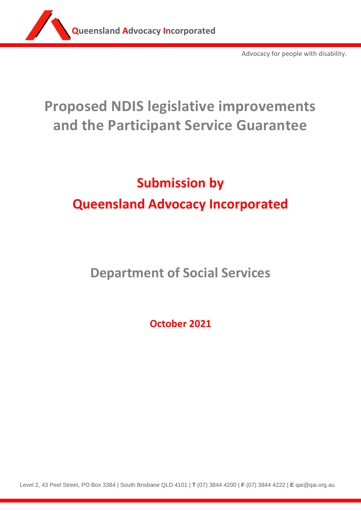

Advocacy for people with disability.

# **Proposed NDIS legislative improvements and the Participant Service Guarantee**

# **Submission by Queensland Advocacy Incorporated**

**Department of Social Services**

**October 2021**

Level 2, 43 Peel Street, PO Box 3384 | South Brisbane QLD 4101 | **T** (07) 3844 4200 | **F** (07) 3844 4222 | **E** qai@qai.org.au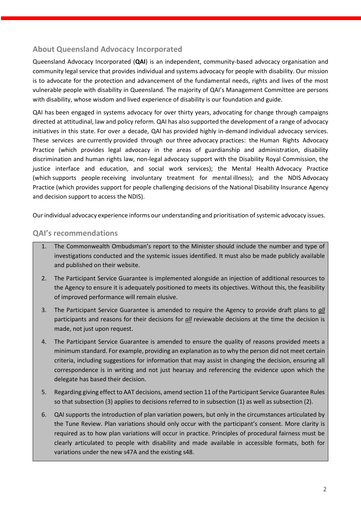## **About Queensland Advocacy Incorporated**

Queensland Advocacy Incorporated (**QAI**) is an independent, community-based advocacy organisation and community legal service that provides individual and systems advocacy for people with disability. Our mission is to advocate for the protection and advancement of the fundamental needs, rights and lives of the most vulnerable people with disability in Queensland. The majority of QAI's Management Committee are persons with disability, whose wisdom and lived experience of disability is our foundation and guide.

QAI has been engaged in systems advocacy for over thirty years, advocating for change through campaigns directed at attitudinal, law and policy reform. QAI has also supported the development of a range of advocacy initiatives in this state. For over a decade, QAI has provided highly in-demand individual advocacy services. These services are currently provided through our three advocacy practices: the Human Rights Advocacy Practice (which provides legal advocacy in the areas of guardianship and administration, disability discrimination and human rights law, non-legal advocacy support with the Disability Royal Commission, the justice interface and education, and social work services); the Mental Health Advocacy Practice (which supports people receiving involuntary treatment for mental illness); and the NDIS Advocacy Practice (which provides support for people challenging decisions of the National Disability Insurance Agency and decision support to access the NDIS).

Our individual advocacy experience informs our understanding and prioritisation of systemic advocacy issues.

## **QAI's recommendations**

- 1. The Commonwealth Ombudsman's report to the Minister should include the number and type of investigations conducted and the systemic issues identified. It must also be made publicly available and published on their website.
- 2. The Participant Service Guarantee is implemented alongside an injection of additional resources to the Agency to ensure it is adequately positioned to meets its objectives. Without this, the feasibility of improved performance will remain elusive.
- 3. The Participant Service Guarantee is amended to require the Agency to provide draft plans to *all* participants and reasons for their decisions for *all* reviewable decisions at the time the decision is made, not just upon request.
- 4. The Participant Service Guarantee is amended to ensure the quality of reasons provided meets a minimum standard. For example, providing an explanation as to why the person did not meet certain criteria, including suggestions for information that may assist in changing the decision, ensuring all correspondence is in writing and not just hearsay and referencing the evidence upon which the delegate has based their decision.
- 5. Regarding giving effect to AAT decisions, amend section 11 of the Participant Service Guarantee Rules so that subsection (3) applies to decisions referred to in subsection (1) as well as subsection (2).
- 6. QAI supports the introduction of plan variation powers, but only in the circumstances articulated by the Tune Review. Plan variations should only occur with the participant's consent. More clarity is required as to how plan variations will occur in practice. Principles of procedural fairness must be clearly articulated to people with disability and made available in accessible formats, both for variations under the new s47A and the existing s48.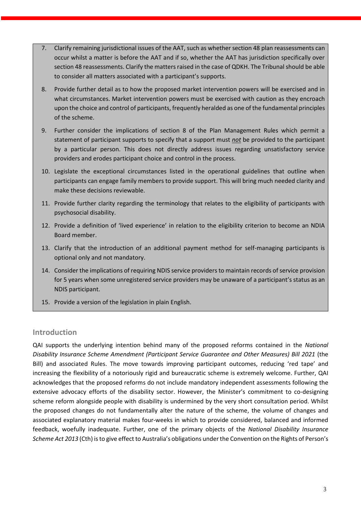- 7. Clarify remaining jurisdictional issues of the AAT, such as whether section 48 plan reassessments can occur whilst a matter is before the AAT and if so, whether the AAT has jurisdiction specifically over section 48 reassessments. Clarify the matters raised in the case of QDKH. The Tribunal should be able to consider all matters associated with a participant's supports.
- 8. Provide further detail as to how the proposed market intervention powers will be exercised and in what circumstances. Market intervention powers must be exercised with caution as they encroach upon the choice and control of participants, frequently heralded as one of the fundamental principles of the scheme.
- 9. Further consider the implications of section 8 of the Plan Management Rules which permit a statement of participant supports to specify that a support must *not* be provided to the participant by a particular person. This does not directly address issues regarding unsatisfactory service providers and erodes participant choice and control in the process.
- 10. Legislate the exceptional circumstances listed in the operational guidelines that outline when participants can engage family members to provide support. This will bring much needed clarity and make these decisions reviewable.
- 11. Provide further clarity regarding the terminology that relates to the eligibility of participants with psychosocial disability.
- 12. Provide a definition of 'lived experience' in relation to the eligibility criterion to become an NDIA Board member.
- 13. Clarify that the introduction of an additional payment method for self-managing participants is optional only and not mandatory.
- 14. Consider the implications of requiring NDIS service providers to maintain records of service provision for 5 years when some unregistered service providers may be unaware of a participant's status as an NDIS participant.
- 15. Provide a version of the legislation in plain English.

## **Introduction**

QAI supports the underlying intention behind many of the proposed reforms contained in the *National Disability Insurance Scheme Amendment (Participant Service Guarantee and Other Measures) Bill 2021* (the Bill) and associated Rules. The move towards improving participant outcomes, reducing 'red tape' and increasing the flexibility of a notoriously rigid and bureaucratic scheme is extremely welcome. Further, QAI acknowledges that the proposed reforms do not include mandatory independent assessments following the extensive advocacy efforts of the disability sector. However, the Minister's commitment to co-designing scheme reform alongside people with disability is undermined by the very short consultation period. Whilst the proposed changes do not fundamentally alter the nature of the scheme, the volume of changes and associated explanatory material makes four-weeks in which to provide considered, balanced and informed feedback, woefully inadequate. Further, one of the primary objects of the *National Disability Insurance Scheme Act 2013* (Cth) is to give effect to Australia's obligations underthe Convention on the Rights of Person's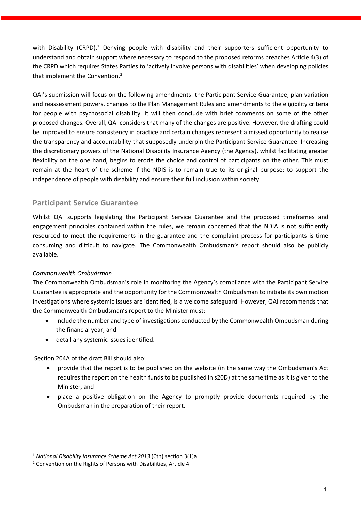with Disability (CRPD).<sup>1</sup> Denying people with disability and their supporters sufficient opportunity to understand and obtain support where necessary to respond to the proposed reforms breaches Article 4(3) of the CRPD which requires States Parties to 'actively involve persons with disabilities' when developing policies that implement the Convention.<sup>2</sup>

QAI's submission will focus on the following amendments: the Participant Service Guarantee, plan variation and reassessment powers, changes to the Plan Management Rules and amendments to the eligibility criteria for people with psychosocial disability. It will then conclude with brief comments on some of the other proposed changes. Overall, QAI considers that many of the changes are positive. However, the drafting could be improved to ensure consistency in practice and certain changes represent a missed opportunity to realise the transparency and accountability that supposedly underpin the Participant Service Guarantee. Increasing the discretionary powers of the National Disability Insurance Agency (the Agency), whilst facilitating greater flexibility on the one hand, begins to erode the choice and control of participants on the other. This must remain at the heart of the scheme if the NDIS is to remain true to its original purpose; to support the independence of people with disability and ensure their full inclusion within society.

## **Participant Service Guarantee**

Whilst QAI supports legislating the Participant Service Guarantee and the proposed timeframes and engagement principles contained within the rules, we remain concerned that the NDIA is not sufficiently resourced to meet the requirements in the guarantee and the complaint process for participants is time consuming and difficult to navigate. The Commonwealth Ombudsman's report should also be publicly available.

## *Commonwealth Ombudsman*

The Commonwealth Ombudsman's role in monitoring the Agency's compliance with the Participant Service Guarantee is appropriate and the opportunity for the Commonwealth Ombudsman to initiate its own motion investigations where systemic issues are identified, is a welcome safeguard. However, QAI recommends that the Commonwealth Ombudsman's report to the Minister must:

- include the number and type of investigations conducted by the Commonwealth Ombudsman during the financial year, and
- detail any systemic issues identified.

Section 204A of the draft Bill should also:

- provide that the report is to be published on the website (in the same way the Ombudsman's Act requires the report on the health funds to be published in s20D) at the same time as it is given to the Minister, and
- place a positive obligation on the Agency to promptly provide documents required by the Ombudsman in the preparation of their report.

<sup>1</sup> *National Disability Insurance Scheme Act 2013* (Cth) section 3(1)a

<sup>2</sup> Convention on the Rights of Persons with Disabilities, Article 4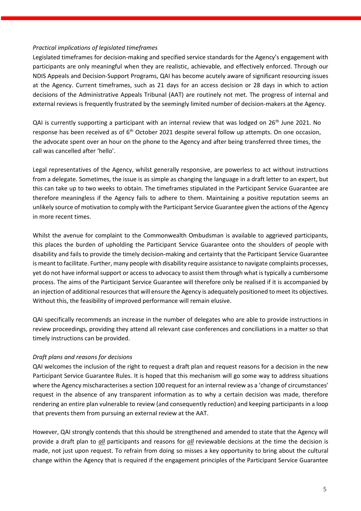#### *Practical implications of legislated timeframes*

Legislated timeframes for decision-making and specified service standards for the Agency's engagement with participants are only meaningful when they are realistic, achievable, and effectively enforced. Through our NDIS Appeals and Decision-Support Programs, QAI has become acutely aware of significant resourcing issues at the Agency. Current timeframes, such as 21 days for an access decision or 28 days in which to action decisions of the Administrative Appeals Tribunal (AAT) are routinely not met. The progress of internal and external reviews is frequently frustrated by the seemingly limited number of decision-makers at the Agency.

QAI is currently supporting a participant with an internal review that was lodged on 26<sup>th</sup> June 2021. No response has been received as of  $6<sup>th</sup>$  October 2021 despite several follow up attempts. On one occasion, the advocate spent over an hour on the phone to the Agency and after being transferred three times, the call was cancelled after 'hello'.

Legal representatives of the Agency, whilst generally responsive, are powerless to act without instructions from a delegate. Sometimes, the issue is as simple as changing the language in a draft letter to an expert, but this can take up to two weeks to obtain. The timeframes stipulated in the Participant Service Guarantee are therefore meaningless if the Agency fails to adhere to them. Maintaining a positive reputation seems an unlikely source of motivation to comply with the Participant Service Guarantee given the actions of the Agency in more recent times.

Whilst the avenue for complaint to the Commonwealth Ombudsman is available to aggrieved participants, this places the burden of upholding the Participant Service Guarantee onto the shoulders of people with disability and fails to provide the timely decision-making and certainty that the Participant Service Guarantee is meant to facilitate. Further, many people with disability require assistance to navigate complaints processes, yet do not have informal support or access to advocacy to assist them through what is typically a cumbersome process. The aims of the Participant Service Guarantee will therefore only be realised if it is accompanied by an injection of additional resources that will ensure the Agency is adequately positioned to meet its objectives. Without this, the feasibility of improved performance will remain elusive.

QAI specifically recommends an increase in the number of delegates who are able to provide instructions in review proceedings, providing they attend all relevant case conferences and conciliations in a matter so that timely instructions can be provided.

## *Draft plans and reasons for decisions*

QAI welcomes the inclusion of the right to request a draft plan and request reasons for a decision in the new Participant Service Guarantee Rules. It is hoped that this mechanism will go some way to address situations where the Agency mischaracterises a section 100 request for an internal review as a 'change of circumstances' request in the absence of any transparent information as to why a certain decision was made, therefore rendering an entire plan vulnerable to review (and consequently reduction) and keeping participants in a loop that prevents them from pursuing an external review at the AAT.

However, QAI strongly contends that this should be strengthened and amended to state that the Agency will provide a draft plan to *all* participants and reasons for *all* reviewable decisions at the time the decision is made, not just upon request. To refrain from doing so misses a key opportunity to bring about the cultural change within the Agency that is required if the engagement principles of the Participant Service Guarantee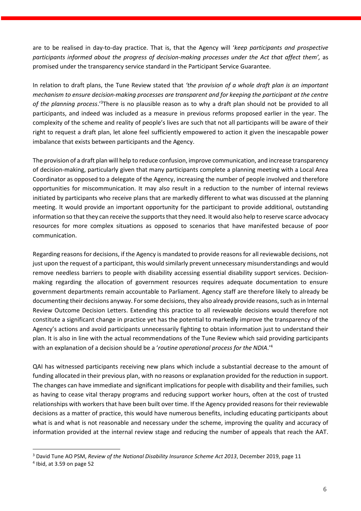are to be realised in day-to-day practice. That is, that the Agency will '*keep participants and prospective participants informed about the progress of decision-making processes under the Act that affect them',* as promised under the transparency service standard in the Participant Service Guarantee.

In relation to draft plans, the Tune Review stated that *'the provision of a whole draft plan is an important mechanism to ensure decision-making processes are transparent and for keeping the participant at the centre*  of the planning process.<sup>, 3</sup>There is no plausible reason as to why a draft plan should not be provided to all participants, and indeed was included as a measure in previous reforms proposed earlier in the year. The complexity of the scheme and reality of people's lives are such that not all participants will be aware of their right to request a draft plan, let alone feel sufficiently empowered to action it given the inescapable power imbalance that exists between participants and the Agency.

The provision of a draft plan will help to reduce confusion, improve communication, and increase transparency of decision-making, particularly given that many participants complete a planning meeting with a Local Area Coordinator as opposed to a delegate of the Agency, increasing the number of people involved and therefore opportunities for miscommunication. It may also result in a reduction to the number of internal reviews initiated by participants who receive plans that are markedly different to what was discussed at the planning meeting. It would provide an important opportunity for the participant to provide additional, outstanding information so that they can receive the supports that they need. It would also help to reserve scarce advocacy resources for more complex situations as opposed to scenarios that have manifested because of poor communication.

Regarding reasons for decisions, if the Agency is mandated to provide reasons for all reviewable decisions, not just upon the request of a participant, this would similarly prevent unnecessary misunderstandings and would remove needless barriers to people with disability accessing essential disability support services. Decisionmaking regarding the allocation of government resources requires adequate documentation to ensure government departments remain accountable to Parliament. Agency staff are therefore likely to already be documenting their decisions anyway. For some decisions, they also already provide reasons, such as in Internal Review Outcome Decision Letters. Extending this practice to all reviewable decisions would therefore not constitute a significant change in practice yet has the potential to markedly improve the transparency of the Agency's actions and avoid participants unnecessarily fighting to obtain information just to understand their plan. It is also in line with the actual recommendations of the Tune Review which said providing participants with an explanation of a decision should be a '*routine operational process for the NDIA*.' 4

QAI has witnessed participants receiving new plans which include a substantial decrease to the amount of funding allocated in their previous plan, with no reasons or explanation provided for the reduction in support. The changes can have immediate and significant implications for people with disability and their families, such as having to cease vital therapy programs and reducing support worker hours, often at the cost of trusted relationships with workers that have been built over time. If the Agency provided reasons for their reviewable decisions as a matter of practice, this would have numerous benefits, including educating participants about what is and what is not reasonable and necessary under the scheme, improving the quality and accuracy of information provided at the internal review stage and reducing the number of appeals that reach the AAT.

<sup>3</sup> David Tune AO PSM, *Review of the National Disability Insurance Scheme Act 2013*, December 2019, page 11

<sup>4</sup> Ibid, at 3.59 on page 52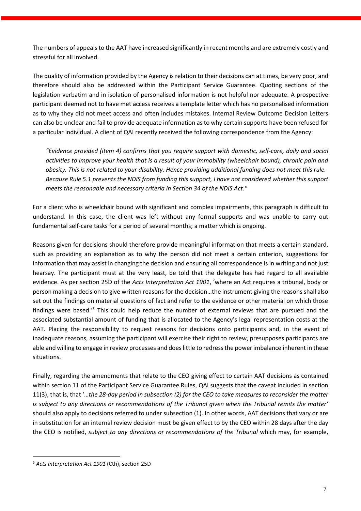The numbers of appeals to the AAT have increased significantly in recent months and are extremely costly and stressful for all involved.

The quality of information provided by the Agency is relation to their decisions can at times, be very poor, and therefore should also be addressed within the Participant Service Guarantee. Quoting sections of the legislation verbatim and in isolation of personalised information is not helpful nor adequate. A prospective participant deemed not to have met access receives a template letter which has no personalised information as to why they did not meet access and often includes mistakes. Internal Review Outcome Decision Letters can also be unclear and fail to provide adequate information as to why certain supports have been refused for a particular individual. A client of QAI recently received the following correspondence from the Agency:

*"Evidence provided (item 4) confirms that you require support with domestic, self-care, daily and social activities to improve your health that is a result of your immobility (wheelchair bound), chronic pain and obesity. This is not related to your disability. Hence providing additional funding does not meet this rule. Because Rule 5.1 prevents the NDIS from funding this support, I have not considered whether this support meets the reasonable and necessary criteria in Section 34 of the NDIS Act."*

For a client who is wheelchair bound with significant and complex impairments, this paragraph is difficult to understand. In this case, the client was left without any formal supports and was unable to carry out fundamental self-care tasks for a period of several months; a matter which is ongoing.

Reasons given for decisions should therefore provide meaningful information that meets a certain standard, such as providing an explanation as to why the person did not meet a certain criterion, suggestions for information that may assist in changing the decision and ensuring all correspondence is in writing and not just hearsay. The participant must at the very least, be told that the delegate has had regard to all available evidence. As per section 25D of the *Acts Interpretation Act 1901*, 'where an Act requires a tribunal, body or person making a decision to give written reasons for the decision…the instrument giving the reasons shall also set out the findings on material questions of fact and refer to the evidence or other material on which those findings were based.<sup>'5</sup> This could help reduce the number of external reviews that are pursued and the associated substantial amount of funding that is allocated to the Agency's legal representation costs at the AAT. Placing the responsibility to request reasons for decisions onto participants and, in the event of inadequate reasons, assuming the participant will exercise their right to review, presupposes participants are able and willing to engage in review processes and does little to redress the power imbalance inherent in these situations.

Finally, regarding the amendments that relate to the CEO giving effect to certain AAT decisions as contained within section 11 of the Participant Service Guarantee Rules, QAI suggests that the caveat included in section 11(3), that is, that '…*the 28-day period in subsection (2) for the CEO to take measures to reconsider the matter is subject to any directions or recommendations of the Tribunal given when the Tribunal remits the matter'*  should also apply to decisions referred to under subsection (1). In other words, AAT decisions that vary or are in substitution for an internal review decision must be given effect to by the CEO within 28 days after the day the CEO is notified, *subject to any directions or recommendations of the Tribunal which may*, for example,

<sup>5</sup> *Acts Interpretation Act 1901* (Cth), section 25D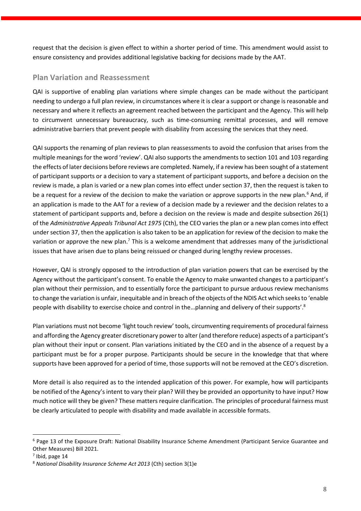request that the decision is given effect to within a shorter period of time. This amendment would assist to ensure consistency and provides additional legislative backing for decisions made by the AAT.

## **Plan Variation and Reassessment**

QAI is supportive of enabling plan variations where simple changes can be made without the participant needing to undergo a full plan review, in circumstances where it is clear a support or change is reasonable and necessary and where it reflects an agreement reached between the participant and the Agency. This will help to circumvent unnecessary bureaucracy, such as time-consuming remittal processes, and will remove administrative barriers that prevent people with disability from accessing the services that they need.

QAI supports the renaming of plan reviews to plan reassessments to avoid the confusion that arises from the multiple meanings for the word 'review'. QAI also supports the amendments to section 101 and 103 regarding the effects of later decisions before reviews are completed. Namely, if a review has been sought of a statement of participant supports or a decision to vary a statement of participant supports, and before a decision on the review is made, a plan is varied or a new plan comes into effect under section 37, then the request is taken to be a request for a review of the decision to make the variation or approve supports in the new plan.<sup>6</sup> And, if an application is made to the AAT for a review of a decision made by a reviewer and the decision relates to a statement of participant supports and, before a decision on the review is made and despite subsection 26(1) of the *Administrative Appeals Tribunal Act 1975* (Cth), the CEO varies the plan or a new plan comes into effect under section 37, then the application is also taken to be an application for review of the decision to make the variation or approve the new plan.<sup>7</sup> This is a welcome amendment that addresses many of the jurisdictional issues that have arisen due to plans being reissued or changed during lengthy review processes.

However, QAI is strongly opposed to the introduction of plan variation powers that can be exercised by the Agency without the participant's consent. To enable the Agency to make unwanted changes to a participant's plan without their permission, and to essentially force the participant to pursue arduous review mechanisms to change the variation is unfair, inequitable and in breach of the objects of the NDIS Act which seeks to 'enable people with disability to exercise choice and control in the... planning and delivery of their supports'.<sup>8</sup>

Plan variations must not become 'light touch review' tools, circumventing requirements of procedural fairness and affording the Agency greater discretionary power to alter (and therefore reduce) aspects of a participant's plan without their input or consent. Plan variations initiated by the CEO and in the absence of a request by a participant must be for a proper purpose. Participants should be secure in the knowledge that that where supports have been approved for a period of time, those supports will not be removed at the CEO's discretion.

More detail is also required as to the intended application of this power. For example, how will participants be notified of the Agency's intent to vary their plan? Will they be provided an opportunity to have input? How much notice will they be given? These matters require clarification. The principles of procedural fairness must be clearly articulated to people with disability and made available in accessible formats.

<sup>6</sup> Page 13 of the Exposure Draft: National Disability Insurance Scheme Amendment (Participant Service Guarantee and Other Measures) Bill 2021.

 $<sup>7</sup>$  Ibid, page 14</sup>

<sup>8</sup> *National Disability Insurance Scheme Act 2013* (Cth) section 3(1)e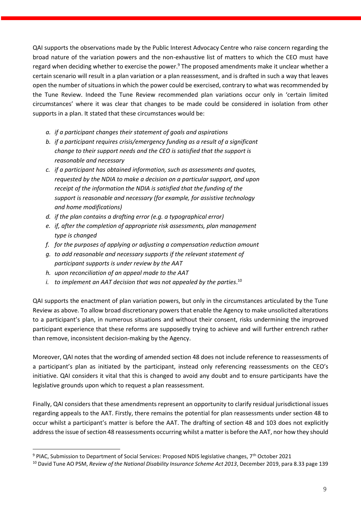QAI supports the observations made by the Public Interest Advocacy Centre who raise concern regarding the broad nature of the variation powers and the non-exhaustive list of matters to which the CEO must have regard when deciding whether to exercise the power.<sup>9</sup> The proposed amendments make it unclear whether a certain scenario will result in a plan variation or a plan reassessment, and is drafted in such a way that leaves open the number of situations in which the power could be exercised, contrary to what was recommended by the Tune Review. Indeed the Tune Review recommended plan variations occur only in 'certain limited circumstances' where it was clear that changes to be made could be considered in isolation from other supports in a plan. It stated that these circumstances would be:

- *a. if a participant changes their statement of goals and aspirations*
- *b. if a participant requires crisis/emergency funding as a result of a significant change to their support needs and the CEO is satisfied that the support is reasonable and necessary*
- *c. if a participant has obtained information, such as assessments and quotes, requested by the NDIA to make a decision on a particular support, and upon receipt of the information the NDIA is satisfied that the funding of the support is reasonable and necessary (for example, for assistive technology and home modifications)*
- *d. if the plan contains a drafting error (e.g. a typographical error)*
- *e. if, after the completion of appropriate risk assessments, plan management type is changed*
- *f. for the purposes of applying or adjusting a compensation reduction amount*
- *g. to add reasonable and necessary supports if the relevant statement of participant supports is under review by the AAT*
- *h. upon reconciliation of an appeal made to the AAT*
- *i. to implement an AAT decision that was not appealed by the parties*. 10

QAI supports the enactment of plan variation powers, but only in the circumstances articulated by the Tune Review as above. To allow broad discretionary powers that enable the Agency to make unsolicited alterations to a participant's plan, in numerous situations and without their consent, risks undermining the improved participant experience that these reforms are supposedly trying to achieve and will further entrench rather than remove, inconsistent decision-making by the Agency.

Moreover, QAI notes that the wording of amended section 48 does not include reference to reassessments of a participant's plan as initiated by the participant, instead only referencing reassessments on the CEO's initiative. QAI considers it vital that this is changed to avoid any doubt and to ensure participants have the legislative grounds upon which to request a plan reassessment.

Finally, QAI considers that these amendments represent an opportunity to clarify residual jurisdictional issues regarding appeals to the AAT. Firstly, there remains the potential for plan reassessments under section 48 to occur whilst a participant's matter is before the AAT. The drafting of section 48 and 103 does not explicitly address the issue of section 48 reassessments occurring whilst a matter is before the AAT, nor how they should

<sup>9</sup> PIAC, Submission to Department of Social Services: Proposed NDIS legislative changes, 7th October 2021

<sup>10</sup> David Tune AO PSM, *Review of the National Disability Insurance Scheme Act 2013*, December 2019, para 8.33 page 139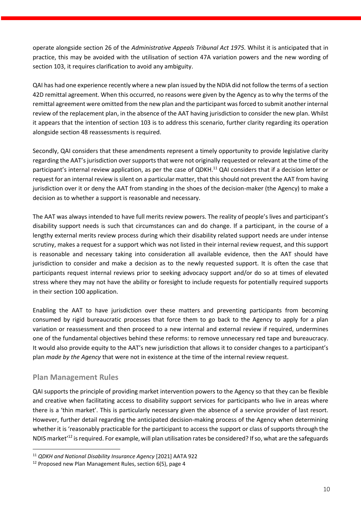operate alongside section 26 of the *Administrative Appeals Tribunal Act 1975.* Whilst it is anticipated that in practice, this may be avoided with the utilisation of section 47A variation powers and the new wording of section 103, it requires clarification to avoid any ambiguity.

QAI has had one experience recently where a new plan issued by the NDIA did not follow the terms of a section 42D remittal agreement. When this occurred, no reasons were given by the Agency as to why the terms of the remittal agreement were omitted from the new plan and the participant was forced to submit another internal review of the replacement plan, in the absence of the AAT having jurisdiction to consider the new plan. Whilst it appears that the intention of section 103 is to address this scenario, further clarity regarding its operation alongside section 48 reassessments is required.

Secondly, QAI considers that these amendments represent a timely opportunity to provide legislative clarity regarding the AAT's jurisdiction over supports that were not originally requested or relevant at the time of the participant's internal review application, as per the case of QDKH.<sup>11</sup> QAI considers that if a decision letter or request for an internal review is silent on a particular matter, that this should not prevent the AAT from having jurisdiction over it or deny the AAT from standing in the shoes of the decision-maker (the Agency) to make a decision as to whether a support is reasonable and necessary.

The AAT was always intended to have full merits review powers. The reality of people's lives and participant's disability support needs is such that circumstances can and do change. If a participant, in the course of a lengthy external merits review process during which their disability related support needs are under intense scrutiny, makes a request for a support which was not listed in their internal review request, and this support is reasonable and necessary taking into consideration all available evidence, then the AAT should have jurisdiction to consider and make a decision as to the newly requested support. It is often the case that participants request internal reviews prior to seeking advocacy support and/or do so at times of elevated stress where they may not have the ability or foresight to include requests for potentially required supports in their section 100 application.

Enabling the AAT to have jurisdiction over these matters and preventing participants from becoming consumed by rigid bureaucratic processes that force them to go back to the Agency to apply for a plan variation or reassessment and then proceed to a new internal and external review if required, undermines one of the fundamental objectives behind these reforms: to remove unnecessary red tape and bureaucracy. It would also provide equity to the AAT's new jurisdiction that allows it to consider changes to a participant's plan *made by the Agency* that were not in existence at the time of the internal review request.

## **Plan Management Rules**

QAI supports the principle of providing market intervention powers to the Agency so that they can be flexible and creative when facilitating access to disability support services for participants who live in areas where there is a 'thin market'. This is particularly necessary given the absence of a service provider of last resort. However, further detail regarding the anticipated decision-making process of the Agency when determining whether it is 'reasonably practicable for the participant to access the support or class of supports through the NDIS market<sup>'12</sup> is required. For example, will plan utilisation rates be considered? If so, what are the safeguards

<sup>11</sup> *QDKH and National Disability Insurance Agency* [2021] AATA 922

<sup>&</sup>lt;sup>12</sup> Proposed new Plan Management Rules, section 6(5), page 4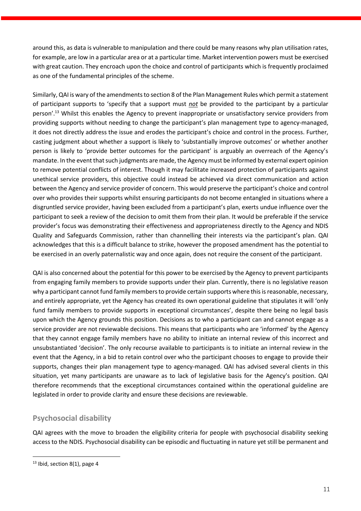around this, as data is vulnerable to manipulation and there could be many reasons why plan utilisation rates, for example, are low in a particular area or at a particular time. Market intervention powers must be exercised with great caution. They encroach upon the choice and control of participants which is frequently proclaimed as one of the fundamental principles of the scheme.

Similarly, QAI is wary of the amendments to section 8 of the Plan Management Rules which permit a statement of participant supports to 'specify that a support must *not* be provided to the participant by a particular person'.<sup>13</sup> Whilst this enables the Agency to prevent inappropriate or unsatisfactory service providers from providing supports without needing to change the participant's plan management type to agency-managed, it does not directly address the issue and erodes the participant's choice and control in the process. Further, casting judgment about whether a support is likely to 'substantially improve outcomes' or whether another person is likely to 'provide better outcomes for the participant' is arguably an overreach of the Agency's mandate. In the event that such judgments are made, the Agency must be informed by external expert opinion to remove potential conflicts of interest. Though it may facilitate increased protection of participants against unethical service providers, this objective could instead be achieved via direct communication and action between the Agency and service provider of concern. This would preserve the participant's choice and control over who provides their supports whilst ensuring participants do not become entangled in situations where a disgruntled service provider, having been excluded from a participant's plan, exerts undue influence over the participant to seek a review of the decision to omit them from their plan. It would be preferable if the service provider's focus was demonstrating their effectiveness and appropriateness directly to the Agency and NDIS Quality and Safeguards Commission, rather than channelling their interests via the participant's plan. QAI acknowledges that this is a difficult balance to strike, however the proposed amendment has the potential to be exercised in an overly paternalistic way and once again, does not require the consent of the participant.

QAI is also concerned about the potential for this power to be exercised by the Agency to prevent participants from engaging family members to provide supports under their plan. Currently, there is no legislative reason why a participant cannot fund family members to provide certain supports where this is reasonable, necessary, and entirely appropriate, yet the Agency has created its own operational guideline that stipulates it will 'only fund family members to provide supports in exceptional circumstances', despite there being no legal basis upon which the Agency grounds this position. Decisions as to who a participant can and cannot engage as a service provider are not reviewable decisions. This means that participants who are 'informed' by the Agency that they cannot engage family members have no ability to initiate an internal review of this incorrect and unsubstantiated 'decision'. The only recourse available to participants is to initiate an internal review in the event that the Agency, in a bid to retain control over who the participant chooses to engage to provide their supports, changes their plan management type to agency-managed. QAI has advised several clients in this situation, yet many participants are unaware as to lack of legislative basis for the Agency's position. QAI therefore recommends that the exceptional circumstances contained within the operational guideline are legislated in order to provide clarity and ensure these decisions are reviewable.

## **Psychosocial disability**

QAI agrees with the move to broaden the eligibility criteria for people with psychosocial disability seeking access to the NDIS. Psychosocial disability can be episodic and fluctuating in nature yet still be permanent and

<sup>&</sup>lt;sup>13</sup> Ibid, section 8(1), page 4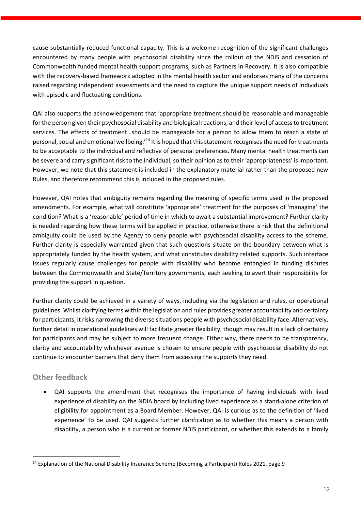cause substantially reduced functional capacity. This is a welcome recognition of the significant challenges encountered by many people with psychosocial disability since the rollout of the NDIS and cessation of Commonwealth funded mental health support programs, such as Partners in Recovery. It is also compatible with the recovery-based framework adopted in the mental health sector and endorses many of the concerns raised regarding independent assessments and the need to capture the unique support needs of individuals with episodic and fluctuating conditions.

QAI also supports the acknowledgement that 'appropriate treatment should be reasonable and manageable for the person given their psychosocial disability and biological reactions, and their level of access to treatment services. The effects of treatment…should be manageable for a person to allow them to reach a state of personal, social and emotional wellbeing.'<sup>14</sup> It is hoped that this statement recognises the need for treatments to be acceptable to the individual and reflective of personal preferences. Many mental health treatments can be severe and carry significant risk to the individual, so their opinion as to their 'appropriateness' is important. However, we note that this statement is included in the explanatory material rather than the proposed new Rules, and therefore recommend this is included in the proposed rules.

However, QAI notes that ambiguity remains regarding the meaning of specific terms used in the proposed amendments. For example, what will constitute 'appropriate' treatment for the purposes of 'managing' the condition? What is a 'reasonable' period of time in which to await a substantial improvement? Further clarity is needed regarding how these terms will be applied in practice, otherwise there is risk that the definitional ambiguity could be used by the Agency to deny people with psychosocial disability access to the scheme. Further clarity is especially warranted given that such questions situate on the boundary between what is appropriately funded by the health system, and what constitutes disability related supports. Such interface issues regularly cause challenges for people with disability who become entangled in funding disputes between the Commonwealth and State/Territory governments, each seeking to avert their responsibility for providing the support in question.

Further clarity could be achieved in a variety of ways, including via the legislation and rules, or operational guidelines. Whilst clarifying terms within the legislation and rules provides greater accountability and certainty for participants, it risks narrowing the diverse situations people with psychosocial disability face. Alternatively, further detail in operational guidelines will facilitate greater flexibility, though may result in a lack of certainty for participants and may be subject to more frequent change. Either way, there needs to be transparency, clarity and accountability whichever avenue is chosen to ensure people with psychosocial disability do not continue to encounter barriers that deny them from accessing the supports they need.

## **Other feedback**

• QAI supports the amendment that recognises the importance of having individuals with lived experience of disability on the NDIA board by including lived experience as a stand-alone criterion of eligibility for appointment as a Board Member. However, QAI is curious as to the definition of 'lived experience' to be used. QAI suggests further clarification as to whether this means a person with disability, a person who is a current or former NDIS participant, or whether this extends to a family

<sup>&</sup>lt;sup>14</sup> Explanation of the National Disability Insurance Scheme (Becoming a Participant) Rules 2021, page 9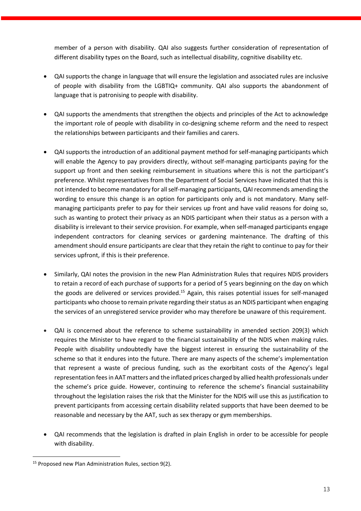member of a person with disability. QAI also suggests further consideration of representation of different disability types on the Board, such as intellectual disability, cognitive disability etc.

- QAI supports the change in language that will ensure the legislation and associated rules are inclusive of people with disability from the LGBTIQ+ community. QAI also supports the abandonment of language that is patronising to people with disability.
- QAI supports the amendments that strengthen the objects and principles of the Act to acknowledge the important role of people with disability in co-designing scheme reform and the need to respect the relationships between participants and their families and carers.
- QAI supports the introduction of an additional payment method for self-managing participants which will enable the Agency to pay providers directly, without self-managing participants paying for the support up front and then seeking reimbursement in situations where this is not the participant's preference. Whilst representatives from the Department of Social Services have indicated that this is not intended to become mandatory for all self-managing participants, QAI recommends amending the wording to ensure this change is an option for participants only and is not mandatory. Many selfmanaging participants prefer to pay for their services up front and have valid reasons for doing so, such as wanting to protect their privacy as an NDIS participant when their status as a person with a disability is irrelevant to their service provision. For example, when self-managed participants engage independent contractors for cleaning services or gardening maintenance. The drafting of this amendment should ensure participants are clear that they retain the right to continue to pay for their services upfront, if this is their preference.
- Similarly, QAI notes the provision in the new Plan Administration Rules that requires NDIS providers to retain a record of each purchase of supports for a period of 5 years beginning on the day on which the goods are delivered or services provided.<sup>15</sup> Again, this raises potential issues for self-managed participants who choose to remain private regarding their status as an NDIS participant when engaging the services of an unregistered service provider who may therefore be unaware of this requirement.
- QAI is concerned about the reference to scheme sustainability in amended section 209(3) which requires the Minister to have regard to the financial sustainability of the NDIS when making rules. People with disability undoubtedly have the biggest interest in ensuring the sustainability of the scheme so that it endures into the future. There are many aspects of the scheme's implementation that represent a waste of precious funding, such as the exorbitant costs of the Agency's legal representation feesin AAT matters and the inflated prices charged by allied health professionals under the scheme's price guide. However, continuing to reference the scheme's financial sustainability throughout the legislation raises the risk that the Minister for the NDIS will use this as justification to prevent participants from accessing certain disability related supports that have been deemed to be reasonable and necessary by the AAT, such as sex therapy or gym memberships.
- QAI recommends that the legislation is drafted in plain English in order to be accessible for people with disability.

<sup>&</sup>lt;sup>15</sup> Proposed new Plan Administration Rules, section 9(2).